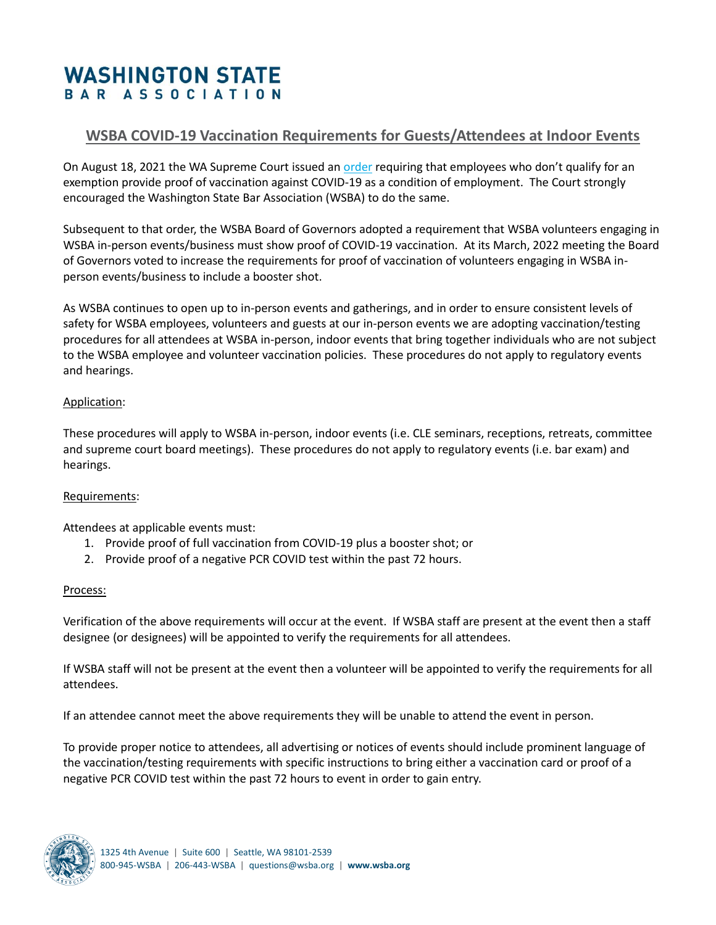# **WASHINGTON STATE** BAR ASSOCIATION

## **WSBA COVID-19 Vaccination Requirements for Guests/Attendees at Indoor Events**

On August 18, 2021 the WA Supreme Court issued an [order](https://www.courts.wa.gov/content/publicUpload/Supreme%20Court%20Orders/25700-B-669.pdf) requiring that employees who don't qualify for an exemption provide proof of vaccination against COVID-19 as a condition of employment. The Court strongly encouraged the Washington State Bar Association (WSBA) to do the same.

Subsequent to that order, the WSBA Board of Governors adopted a requirement that WSBA volunteers engaging in WSBA in-person events/business must show proof of COVID-19 vaccination. At its March, 2022 meeting the Board of Governors voted to increase the requirements for proof of vaccination of volunteers engaging in WSBA inperson events/business to include a booster shot.

As WSBA continues to open up to in-person events and gatherings, and in order to ensure consistent levels of safety for WSBA employees, volunteers and guests at our in-person events we are adopting vaccination/testing procedures for all attendees at WSBA in-person, indoor events that bring together individuals who are not subject to the WSBA employee and volunteer vaccination policies. These procedures do not apply to regulatory events and hearings.

#### Application:

These procedures will apply to WSBA in-person, indoor events (i.e. CLE seminars, receptions, retreats, committee and supreme court board meetings). These procedures do not apply to regulatory events (i.e. bar exam) and hearings.

#### Requirements:

Attendees at applicable events must:

- 1. Provide proof of full vaccination from COVID-19 plus a booster shot; or
- 2. Provide proof of a negative PCR COVID test within the past 72 hours.

### Process:

Verification of the above requirements will occur at the event. If WSBA staff are present at the event then a staff designee (or designees) will be appointed to verify the requirements for all attendees.

If WSBA staff will not be present at the event then a volunteer will be appointed to verify the requirements for all attendees.

If an attendee cannot meet the above requirements they will be unable to attend the event in person.

To provide proper notice to attendees, all advertising or notices of events should include prominent language of the vaccination/testing requirements with specific instructions to bring either a vaccination card or proof of a negative PCR COVID test within the past 72 hours to event in order to gain entry.